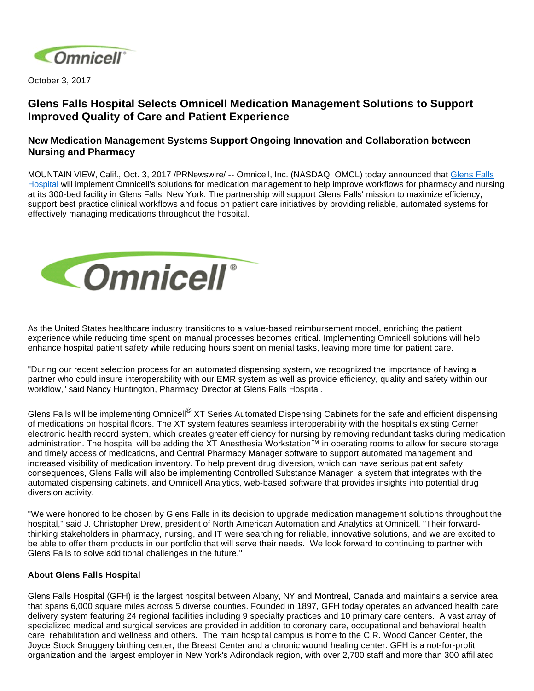

October 3, 2017

## **Glens Falls Hospital Selects Omnicell Medication Management Solutions to Support Improved Quality of Care and Patient Experience**

## **New Medication Management Systems Support Ongoing Innovation and Collaboration between Nursing and Pharmacy**

MOUNTAIN VIEW, Calif., Oct. 3, 2017 /PRNewswire/ -- Omnicell, Inc. (NASDAQ: OMCL) today announced that [Glens Falls](https://www.glensfallshospital.org/)  [Hospital](https://www.glensfallshospital.org/) will implement Omnicell's solutions for medication management to help improve workflows for pharmacy and nursing at its 300-bed facility in Glens Falls, New York. The partnership will support Glens Falls' mission to maximize efficiency, support best practice clinical workflows and focus on patient care initiatives by providing reliable, automated systems for effectively managing medications throughout the hospital.



As the United States healthcare industry transitions to a value-based reimbursement model, enriching the patient experience while reducing time spent on manual processes becomes critical. Implementing Omnicell solutions will help enhance hospital patient safety while reducing hours spent on menial tasks, leaving more time for patient care.

"During our recent selection process for an automated dispensing system, we recognized the importance of having a partner who could insure interoperability with our EMR system as well as provide efficiency, quality and safety within our workflow," said Nancy Huntington, Pharmacy Director at Glens Falls Hospital.

Glens Falls will be implementing Omnicell<sup>®</sup> XT Series Automated Dispensing Cabinets for the safe and efficient dispensing of medications on hospital floors. The XT system features seamless interoperability with the hospital's existing Cerner electronic health record system, which creates greater efficiency for nursing by removing redundant tasks during medication administration. The hospital will be adding the XT Anesthesia Workstation™ in operating rooms to allow for secure storage and timely access of medications, and Central Pharmacy Manager software to support automated management and increased visibility of medication inventory. To help prevent drug diversion, which can have serious patient safety consequences, Glens Falls will also be implementing Controlled Substance Manager, a system that integrates with the automated dispensing cabinets, and Omnicell Analytics, web-based software that provides insights into potential drug diversion activity.

"We were honored to be chosen by Glens Falls in its decision to upgrade medication management solutions throughout the hospital," said J. Christopher Drew, president of North American Automation and Analytics at Omnicell. "Their forwardthinking stakeholders in pharmacy, nursing, and IT were searching for reliable, innovative solutions, and we are excited to be able to offer them products in our portfolio that will serve their needs. We look forward to continuing to partner with Glens Falls to solve additional challenges in the future."

## **About Glens Falls Hospital**

Glens Falls Hospital (GFH) is the largest hospital between Albany, NY and Montreal, Canada and maintains a service area that spans 6,000 square miles across 5 diverse counties. Founded in 1897, GFH today operates an advanced health care delivery system featuring 24 regional facilities including 9 specialty practices and 10 primary care centers. A vast array of specialized medical and surgical services are provided in addition to coronary care, occupational and behavioral health care, rehabilitation and wellness and others. The main hospital campus is home to the C.R. Wood Cancer Center, the Joyce Stock Snuggery birthing center, the Breast Center and a chronic wound healing center. GFH is a not-for-profit organization and the largest employe[r in New York](http://www.glensfallshospital.org/)'[s](http://www.glensfallshospital.org/) Adirondack region, with over 2,700 staff and more than 300 affiliated